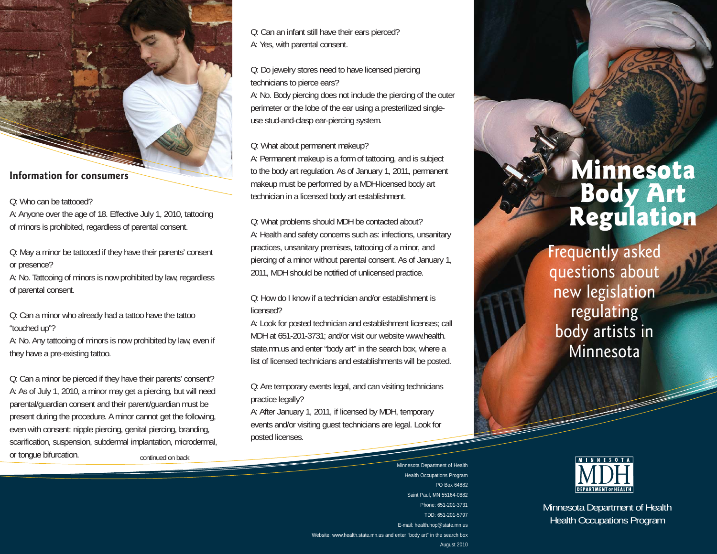#### **Information for consumers**

Q: Who can be tattooed?

A: Anyone over the age of 18. Effective July 1, 2010, tattooing of minors is prohibited, regardless of parental consent.

Q: May a minor be tattooed if they have their parents' consent or presence?

A: No. Tattooing of minors is now prohibited by law, regardless of parental consent.

Q: Can a minor who already had a tattoo have the tattoo "touched up"?

A: No. Any tattooing of minors is now prohibited by law, even if they have a pre-existing tattoo.

Q: Can a minor be pierced if they have their parents' consent? A: As of July 1, 2010, a minor may get a piercing, but will need parental/guardian consent and their parent/guardian must be present during the procedure. A minor cannot get the following, even with consent: nipple piercing, genital piercing, branding, scarification, suspension, subdermal implantation, microdermal, or tongue bifurcation. The continued on back

Q: Can an infant still have their ears pierced? A: Yes, with parental consent.

Q: Do jewelry stores need to have licensed piercing technicians to pierce ears?

A: No. Body piercing does not include the piercing of the outer perimeter or the lobe of the ear using a presterilized singleuse stud-and-clasp ear-piercing system.

Q: What about permanent makeup?

A: Permanent makeup is a form of tattooing, and is subject to the body art regulation. As of January 1, 2011, permanent makeup must be performed by a MDH-licensed body art technician in a licensed body art establishment.

Q: What problems should MDH be contacted about? A: Health and safety concerns such as: infections, unsanitary practices, unsanitary premises, tattooing of a minor, and piercing of a minor without parental consent. As of January 1, 2011, MDH should be notified of unlicensed practice.

Q: How do I know if a technician and/or establishment is licensed?

A: Look for posted technician and establishment licenses; call MDH at 651-201-3731; and/or visit our website www.health. state.mn.us and enter "body art" in the search box, where a list of licensed technicians and establishments will be posted.

Q: Are temporary events legal, and can visiting technicians practice legally?

A: After January 1, 2011, if licensed by MDH, temporary events and/or visiting guest technicians are legal. Look for posted licenses.

> Minnesota Department of Health Health Occupations Program PO Box 64882Saint Paul, MN 55164-0882 Phone: 651-201-3731TDD: 651-201-5797 E-mail: health.hop@state.mn.us Website: www.health.state.mn.us and enter "body art" in the search box August 2010

# Minnesota **Body Art<br>Regulation**

Frequently asked questions about new legislation regulating body artists in Minnesota



Minnesota Department of Health Health Occupations Program